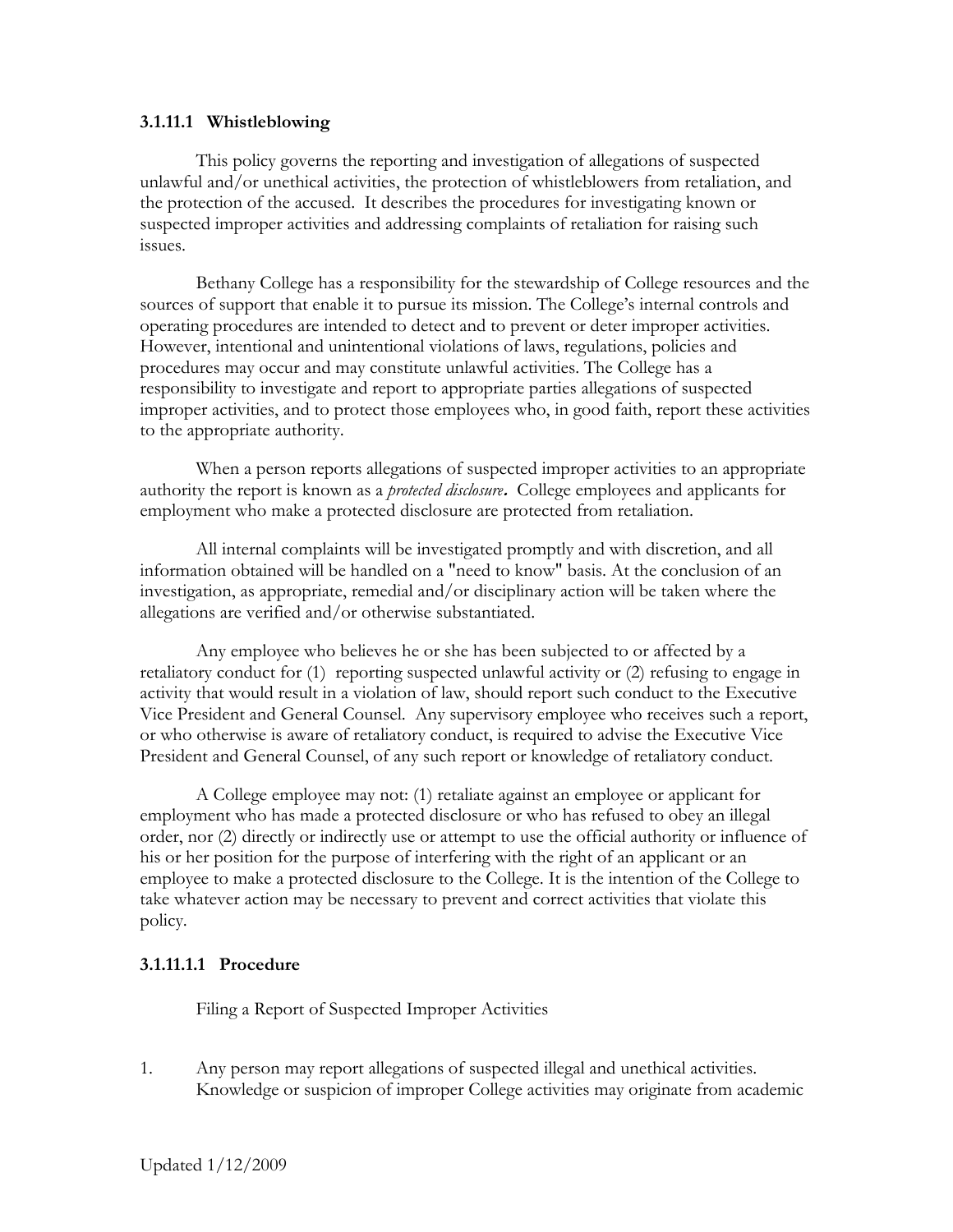## **3.1.11.1 Whistleblowing**

This policy governs the reporting and investigation of allegations of suspected unlawful and/or unethical activities, the protection of whistleblowers from retaliation, and the protection of the accused. It describes the procedures for investigating known or suspected improper activities and addressing complaints of retaliation for raising such issues.

Bethany College has a responsibility for the stewardship of College resources and the sources of support that enable it to pursue its mission. The College's internal controls and operating procedures are intended to detect and to prevent or deter improper activities. However, intentional and unintentional violations of laws, regulations, policies and procedures may occur and may constitute unlawful activities. The College has a responsibility to investigate and report to appropriate parties allegations of suspected improper activities, and to protect those employees who, in good faith, report these activities to the appropriate authority.

When a person reports allegations of suspected improper activities to an appropriate authority the report is known as a *protected disclosure***.** College employees and applicants for employment who make a protected disclosure are protected from retaliation.

All internal complaints will be investigated promptly and with discretion, and all information obtained will be handled on a "need to know" basis. At the conclusion of an investigation, as appropriate, remedial and/or disciplinary action will be taken where the allegations are verified and/or otherwise substantiated.

Any employee who believes he or she has been subjected to or affected by a retaliatory conduct for (1) reporting suspected unlawful activity or (2) refusing to engage in activity that would result in a violation of law, should report such conduct to the Executive Vice President and General Counsel. Any supervisory employee who receives such a report, or who otherwise is aware of retaliatory conduct, is required to advise the Executive Vice President and General Counsel, of any such report or knowledge of retaliatory conduct.

A College employee may not: (1) retaliate against an employee or applicant for employment who has made a protected disclosure or who has refused to obey an illegal order, nor (2) directly or indirectly use or attempt to use the official authority or influence of his or her position for the purpose of interfering with the right of an applicant or an employee to make a protected disclosure to the College. It is the intention of the College to take whatever action may be necessary to prevent and correct activities that violate this policy.

## **3.1.11.1.1 Procedure**

Filing a Report of Suspected Improper Activities

1. Any person may report allegations of suspected illegal and unethical activities. Knowledge or suspicion of improper College activities may originate from academic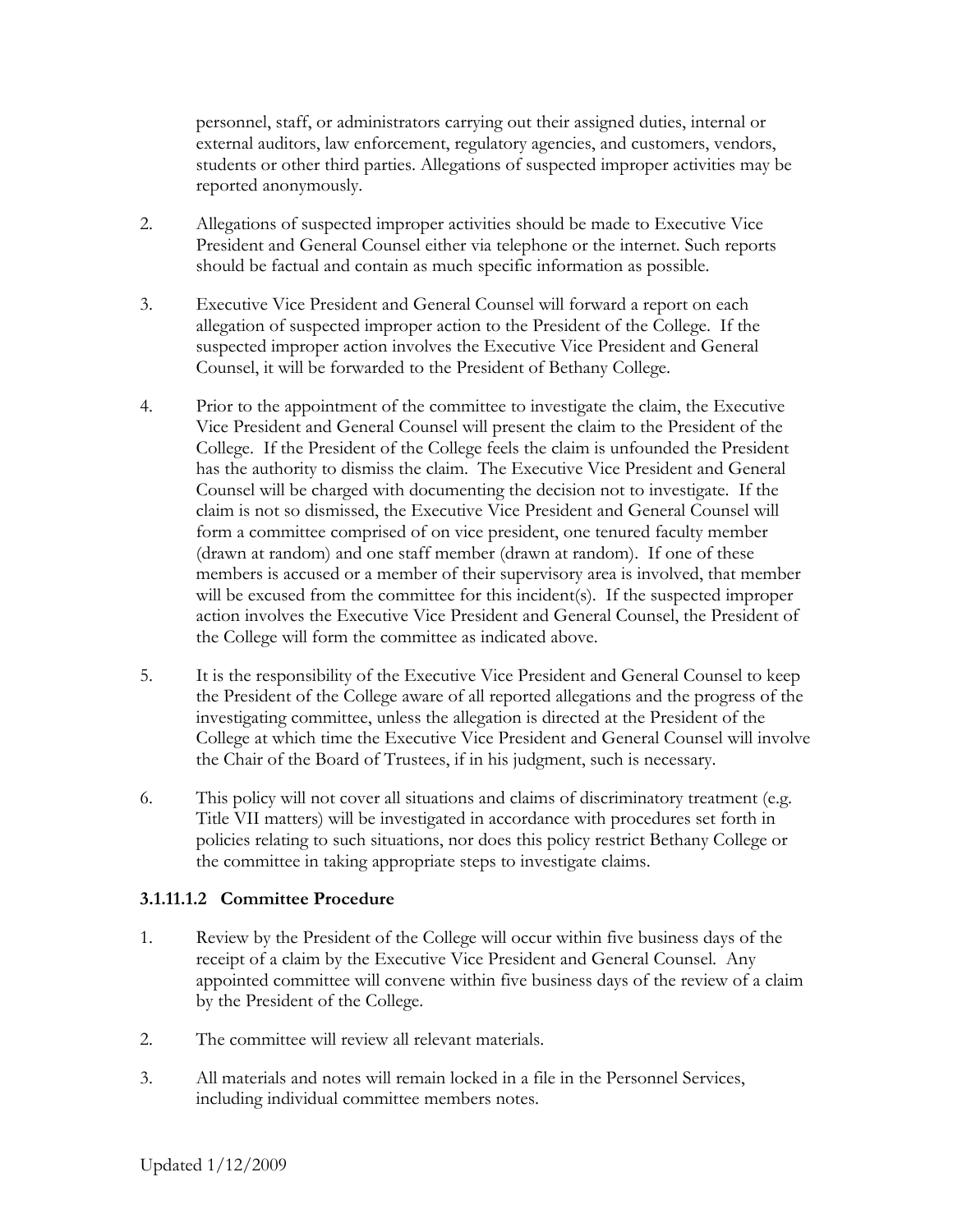personnel, staff, or administrators carrying out their assigned duties, internal or external auditors, law enforcement, regulatory agencies, and customers, vendors, students or other third parties. Allegations of suspected improper activities may be reported anonymously.

- 2. Allegations of suspected improper activities should be made to Executive Vice President and General Counsel either via telephone or the internet. Such reports should be factual and contain as much specific information as possible.
- 3. Executive Vice President and General Counsel will forward a report on each allegation of suspected improper action to the President of the College. If the suspected improper action involves the Executive Vice President and General Counsel, it will be forwarded to the President of Bethany College.
- 4. Prior to the appointment of the committee to investigate the claim, the Executive Vice President and General Counsel will present the claim to the President of the College. If the President of the College feels the claim is unfounded the President has the authority to dismiss the claim. The Executive Vice President and General Counsel will be charged with documenting the decision not to investigate. If the claim is not so dismissed, the Executive Vice President and General Counsel will form a committee comprised of on vice president, one tenured faculty member (drawn at random) and one staff member (drawn at random). If one of these members is accused or a member of their supervisory area is involved, that member will be excused from the committee for this incident(s). If the suspected improper action involves the Executive Vice President and General Counsel, the President of the College will form the committee as indicated above.
- 5. It is the responsibility of the Executive Vice President and General Counsel to keep the President of the College aware of all reported allegations and the progress of the investigating committee, unless the allegation is directed at the President of the College at which time the Executive Vice President and General Counsel will involve the Chair of the Board of Trustees, if in his judgment, such is necessary.
- 6. This policy will not cover all situations and claims of discriminatory treatment (e.g. Title VII matters) will be investigated in accordance with procedures set forth in policies relating to such situations, nor does this policy restrict Bethany College or the committee in taking appropriate steps to investigate claims.

## **3.1.11.1.2 Committee Procedure**

- 1. Review by the President of the College will occur within five business days of the receipt of a claim by the Executive Vice President and General Counsel. Any appointed committee will convene within five business days of the review of a claim by the President of the College.
- 2. The committee will review all relevant materials.
- 3. All materials and notes will remain locked in a file in the Personnel Services, including individual committee members notes.